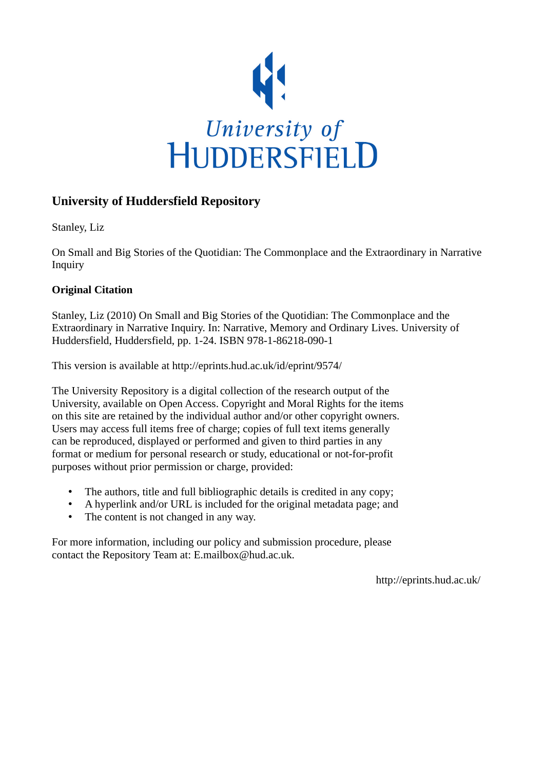

# **University of Huddersfield Repository**

Stanley, Liz

On Small and Big Stories of the Quotidian: The Commonplace and the Extraordinary in Narrative Inquiry

# **Original Citation**

Stanley, Liz (2010) On Small and Big Stories of the Quotidian: The Commonplace and the Extraordinary in Narrative Inquiry. In: Narrative, Memory and Ordinary Lives. University of Huddersfield, Huddersfield, pp. 1-24. ISBN 978-1-86218-090-1

This version is available at http://eprints.hud.ac.uk/id/eprint/9574/

The University Repository is a digital collection of the research output of the University, available on Open Access. Copyright and Moral Rights for the items on this site are retained by the individual author and/or other copyright owners. Users may access full items free of charge; copies of full text items generally can be reproduced, displayed or performed and given to third parties in any format or medium for personal research or study, educational or not-for-profit purposes without prior permission or charge, provided:

- The authors, title and full bibliographic details is credited in any copy;
- A hyperlink and/or URL is included for the original metadata page; and
- The content is not changed in any way.

For more information, including our policy and submission procedure, please contact the Repository Team at: E.mailbox@hud.ac.uk.

http://eprints.hud.ac.uk/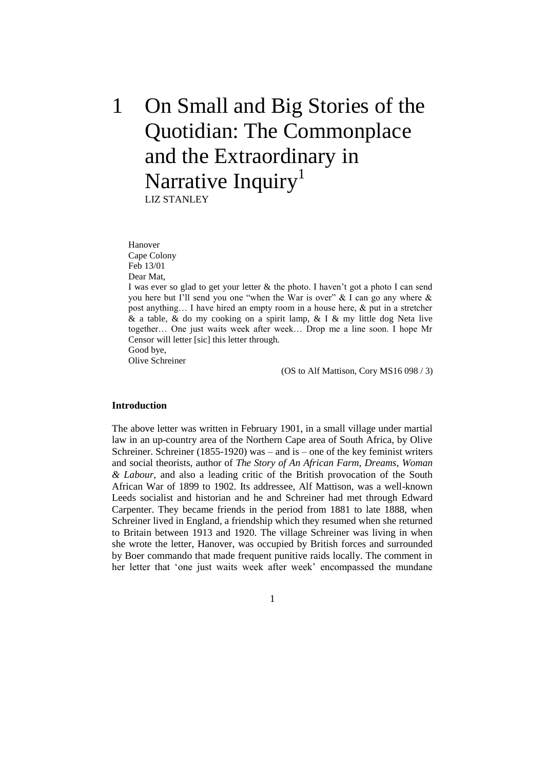# 1 On Small and Big Stories of the Quotidian: The Commonplace and the Extraordinary in Narrative Inquiry<sup>1</sup>

LIZ STANLEY

Hanover Cape Colony Feb 13/01 Dear Mat,

I was ever so glad to get your letter  $\&$  the photo. I haven't got a photo I can send you here but I'll send you one "when the War is over"  $\&$  I can go any where  $\&$ post anything… I have hired an empty room in a house here, & put in a stretcher  $\&$  a table,  $\&$  do my cooking on a spirit lamp,  $\&$  I  $\&$  my little dog Neta live together… One just waits week after week… Drop me a line soon. I hope Mr Censor will letter [sic] this letter through.

Good bye, Olive Schreiner

(OS to Alf Mattison, Cory MS16 098 / 3)

# **Introduction**

The above letter was written in February 1901, in a small village under martial law in an up-country area of the Northern Cape area of South Africa, by Olive Schreiner. Schreiner (1855-1920) was – and is – one of the key feminist writers and social theorists, author of *The Story of An African Farm*, *Dreams*, *Woman & Labour*, and also a leading critic of the British provocation of the South African War of 1899 to 1902. Its addressee, Alf Mattison, was a well-known Leeds socialist and historian and he and Schreiner had met through Edward Carpenter. They became friends in the period from 1881 to late 1888, when Schreiner lived in England, a friendship which they resumed when she returned to Britain between 1913 and 1920. The village Schreiner was living in when she wrote the letter, Hanover, was occupied by British forces and surrounded by Boer commando that made frequent punitive raids locally. The comment in her letter that 'one just waits week after week' encompassed the mundane

1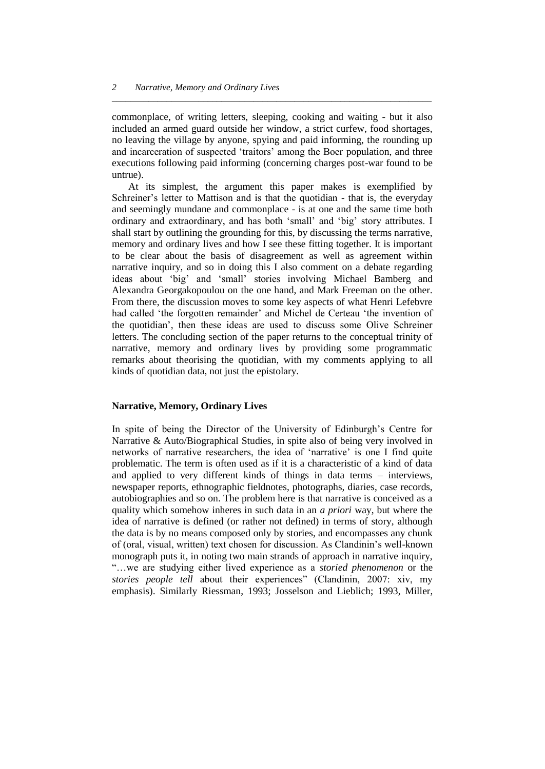commonplace, of writing letters, sleeping, cooking and waiting - but it also included an armed guard outside her window, a strict curfew, food shortages, no leaving the village by anyone, spying and paid informing, the rounding up and incarceration of suspected 'traitors' among the Boer population, and three executions following paid informing (concerning charges post-war found to be untrue).

*\_\_\_\_\_\_\_\_\_\_\_\_\_\_\_\_\_\_\_\_\_\_\_\_\_\_\_\_\_\_\_\_\_\_\_\_\_\_\_\_\_\_\_\_\_\_\_\_\_\_\_\_\_\_\_\_\_\_\_\_\_\_\_\_\_\_\_\_\_\_*

At its simplest, the argument this paper makes is exemplified by Schreiner's letter to Mattison and is that the quotidian - that is, the everyday and seemingly mundane and commonplace - is at one and the same time both ordinary and extraordinary, and has both 'small' and 'big' story attributes. I shall start by outlining the grounding for this, by discussing the terms narrative, memory and ordinary lives and how I see these fitting together. It is important to be clear about the basis of disagreement as well as agreement within narrative inquiry, and so in doing this I also comment on a debate regarding ideas about ‗big' and ‗small' stories involving Michael Bamberg and Alexandra Georgakopoulou on the one hand, and Mark Freeman on the other. From there, the discussion moves to some key aspects of what Henri Lefebvre had called 'the forgotten remainder' and Michel de Certeau 'the invention of the quotidian', then these ideas are used to discuss some Olive Schreiner letters. The concluding section of the paper returns to the conceptual trinity of narrative, memory and ordinary lives by providing some programmatic remarks about theorising the quotidian, with my comments applying to all kinds of quotidian data, not just the epistolary.

# **Narrative, Memory, Ordinary Lives**

In spite of being the Director of the University of Edinburgh's Centre for Narrative & Auto/Biographical Studies, in spite also of being very involved in networks of narrative researchers, the idea of 'narrative' is one I find quite problematic. The term is often used as if it is a characteristic of a kind of data and applied to very different kinds of things in data terms – interviews, newspaper reports, ethnographic fieldnotes, photographs, diaries, case records, autobiographies and so on. The problem here is that narrative is conceived as a quality which somehow inheres in such data in an *a priori* way, but where the idea of narrative is defined (or rather not defined) in terms of story, although the data is by no means composed only by stories, and encompasses any chunk of (oral, visual, written) text chosen for discussion. As Clandinin's well-known monograph puts it, in noting two main strands of approach in narrative inquiry, ―…we are studying either lived experience as a *storied phenomenon* or the stories people tell about their experiences" (Clandinin, 2007: xiv, my emphasis). Similarly Riessman, 1993; Josselson and Lieblich; 1993, Miller,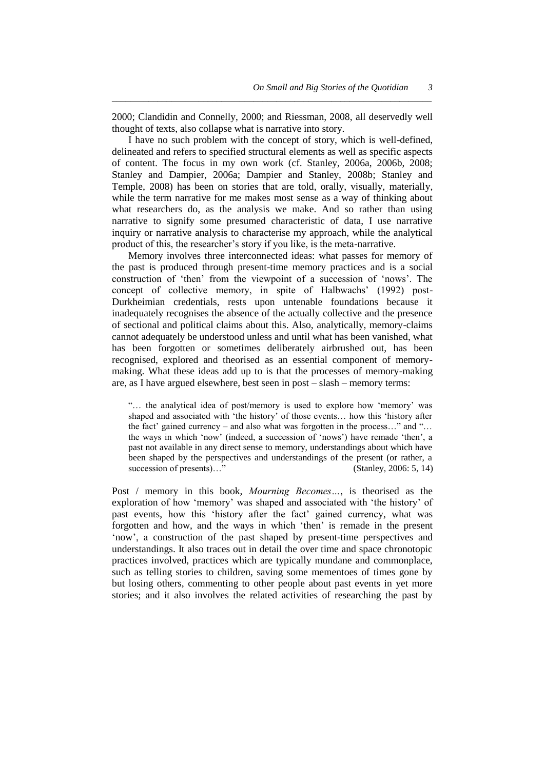2000; Clandidin and Connelly, 2000; and Riessman, 2008, all deservedly well thought of texts, also collapse what is narrative into story.

*\_\_\_\_\_\_\_\_\_\_\_\_\_\_\_\_\_\_\_\_\_\_\_\_\_\_\_\_\_\_\_\_\_\_\_\_\_\_\_\_\_\_\_\_\_\_\_\_\_\_\_\_\_\_\_\_\_\_\_\_\_\_\_\_\_\_\_\_\_\_*

I have no such problem with the concept of story, which is well-defined, delineated and refers to specified structural elements as well as specific aspects of content. The focus in my own work (cf. Stanley, 2006a, 2006b, 2008; Stanley and Dampier, 2006a; Dampier and Stanley, 2008b; Stanley and Temple, 2008) has been on stories that are told, orally, visually, materially, while the term narrative for me makes most sense as a way of thinking about what researchers do, as the analysis we make. And so rather than using narrative to signify some presumed characteristic of data, I use narrative inquiry or narrative analysis to characterise my approach, while the analytical product of this, the researcher's story if you like, is the meta-narrative.

Memory involves three interconnected ideas: what passes for memory of the past is produced through present-time memory practices and is a social construction of 'then' from the viewpoint of a succession of 'nows'. The concept of collective memory, in spite of Halbwachs' (1992) post-Durkheimian credentials, rests upon untenable foundations because it inadequately recognises the absence of the actually collective and the presence of sectional and political claims about this. Also, analytically, memory-claims cannot adequately be understood unless and until what has been vanished, what has been forgotten or sometimes deliberately airbrushed out, has been recognised, explored and theorised as an essential component of memorymaking. What these ideas add up to is that the processes of memory-making are, as I have argued elsewhere, best seen in post – slash – memory terms:

"... the analytical idea of post/memory is used to explore how 'memory' was shaped and associated with 'the history' of those events... how this 'history after the fact' gained currency – and also what was forgotten in the process..." and "... the ways in which 'now' (indeed, a succession of 'nows') have remade 'then', a past not available in any direct sense to memory, understandings about which have been shaped by the perspectives and understandings of the present (or rather, a succession of presents)…" (Stanley, 2006: 5, 14)

Post / memory in this book, *Mourning Becomes…*, is theorised as the exploration of how 'memory' was shaped and associated with 'the history' of past events, how this 'history after the fact' gained currency, what was forgotten and how, and the ways in which 'then' is remade in the present ‗now', a construction of the past shaped by present-time perspectives and understandings. It also traces out in detail the over time and space chronotopic practices involved, practices which are typically mundane and commonplace, such as telling stories to children, saving some mementoes of times gone by but losing others, commenting to other people about past events in yet more stories; and it also involves the related activities of researching the past by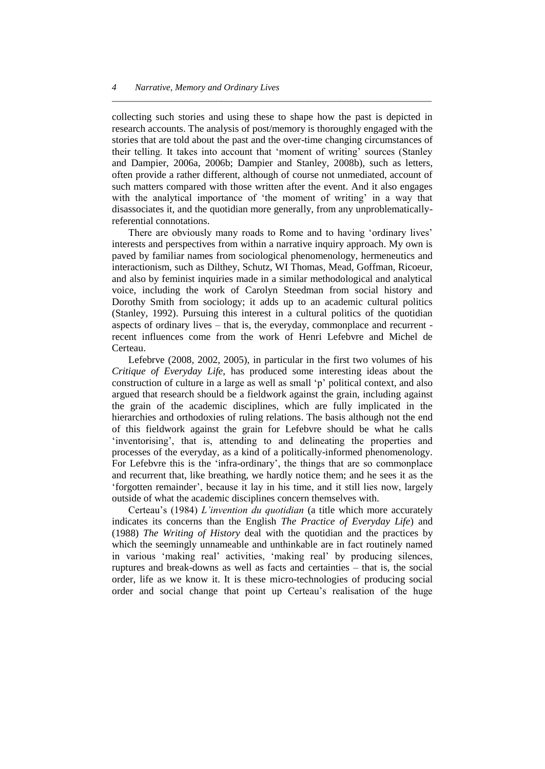collecting such stories and using these to shape how the past is depicted in research accounts. The analysis of post/memory is thoroughly engaged with the stories that are told about the past and the over-time changing circumstances of their telling. It takes into account that 'moment of writing' sources (Stanley and Dampier, 2006a, 2006b; Dampier and Stanley, 2008b), such as letters, often provide a rather different, although of course not unmediated, account of such matters compared with those written after the event. And it also engages with the analytical importance of 'the moment of writing' in a way that disassociates it, and the quotidian more generally, from any unproblematicallyreferential connotations.

*\_\_\_\_\_\_\_\_\_\_\_\_\_\_\_\_\_\_\_\_\_\_\_\_\_\_\_\_\_\_\_\_\_\_\_\_\_\_\_\_\_\_\_\_\_\_\_\_\_\_\_\_\_\_\_\_\_\_\_\_\_\_\_\_\_\_\_\_\_\_*

There are obviously many roads to Rome and to having 'ordinary lives' interests and perspectives from within a narrative inquiry approach. My own is paved by familiar names from sociological phenomenology, hermeneutics and interactionism, such as Dilthey, Schutz, WI Thomas, Mead, Goffman, Ricoeur, and also by feminist inquiries made in a similar methodological and analytical voice, including the work of Carolyn Steedman from social history and Dorothy Smith from sociology; it adds up to an academic cultural politics (Stanley, 1992). Pursuing this interest in a cultural politics of the quotidian aspects of ordinary lives – that is, the everyday, commonplace and recurrent recent influences come from the work of Henri Lefebvre and Michel de Certeau.

Lefebrve (2008, 2002, 2005), in particular in the first two volumes of his *Critique of Everyday Life*, has produced some interesting ideas about the construction of culture in a large as well as small 'p' political context, and also argued that research should be a fieldwork against the grain, including against the grain of the academic disciplines, which are fully implicated in the hierarchies and orthodoxies of ruling relations. The basis although not the end of this fieldwork against the grain for Lefebvre should be what he calls 'inventorising', that is, attending to and delineating the properties and processes of the everyday, as a kind of a politically-informed phenomenology. For Lefebvre this is the 'infra-ordinary', the things that are so commonplace and recurrent that, like breathing, we hardly notice them; and he sees it as the ‗forgotten remainder', because it lay in his time, and it still lies now, largely outside of what the academic disciplines concern themselves with.

Certeau's (1984) *L"invention du quotidian* (a title which more accurately indicates its concerns than the English *The Practice of Everyday Life*) and (1988) *The Writing of History* deal with the quotidian and the practices by which the seemingly unnameable and unthinkable are in fact routinely named in various ‗making real' activities, ‗making real' by producing silences, ruptures and break-downs as well as facts and certainties – that is, the social order, life as we know it. It is these micro-technologies of producing social order and social change that point up Certeau's realisation of the huge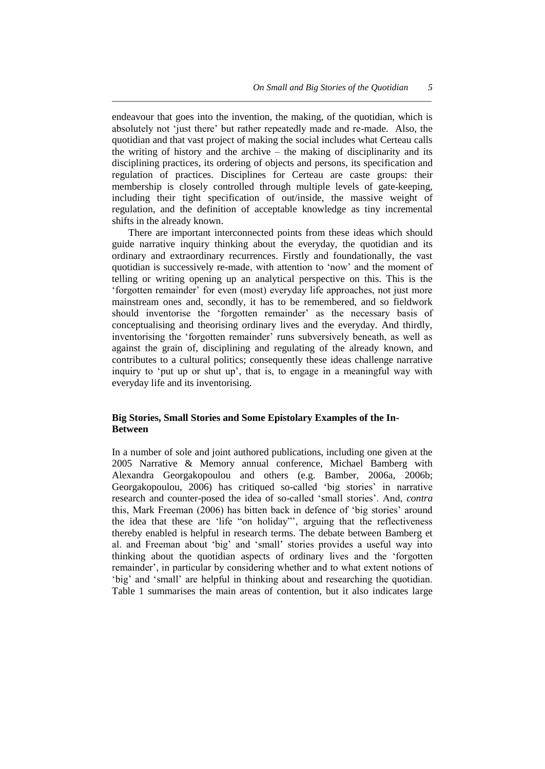*5*

endeavour that goes into the invention, the making, of the quotidian, which is absolutely not ‗just there' but rather repeatedly made and re-made. Also, the quotidian and that vast project of making the social includes what Certeau calls the writing of history and the archive – the making of disciplinarity and its disciplining practices, its ordering of objects and persons, its specification and regulation of practices. Disciplines for Certeau are caste groups: their membership is closely controlled through multiple levels of gate-keeping, including their tight specification of out/inside, the massive weight of regulation, and the definition of acceptable knowledge as tiny incremental shifts in the already known.

*\_\_\_\_\_\_\_\_\_\_\_\_\_\_\_\_\_\_\_\_\_\_\_\_\_\_\_\_\_\_\_\_\_\_\_\_\_\_\_\_\_\_\_\_\_\_\_\_\_\_\_\_\_\_\_\_\_\_\_\_\_\_\_\_\_\_\_\_\_\_*

There are important interconnected points from these ideas which should guide narrative inquiry thinking about the everyday, the quotidian and its ordinary and extraordinary recurrences. Firstly and foundationally, the vast quotidian is successively re-made, with attention to 'now' and the moment of telling or writing opening up an analytical perspective on this. This is the ‗forgotten remainder' for even (most) everyday life approaches, not just more mainstream ones and, secondly, it has to be remembered, and so fieldwork should inventorise the 'forgotten remainder' as the necessary basis of conceptualising and theorising ordinary lives and the everyday. And thirdly, inventorising the 'forgotten remainder' runs subversively beneath, as well as against the grain of, disciplining and regulating of the already known, and contributes to a cultural politics; consequently these ideas challenge narrative inquiry to 'put up or shut up', that is, to engage in a meaningful way with everyday life and its inventorising.

# **Big Stories, Small Stories and Some Epistolary Examples of the In-Between**

In a number of sole and joint authored publications, including one given at the 2005 Narrative & Memory annual conference, Michael Bamberg with Alexandra Georgakopoulou and others (e.g. Bamber, 2006a, 2006b; Georgakopoulou, 2006) has critiqued so-called 'big stories' in narrative research and counter-posed the idea of so-called ‗small stories'. And, *contra* this, Mark Freeman (2006) has bitten back in defence of ‗big stories' around the idea that these are 'life "on holiday"', arguing that the reflectiveness thereby enabled is helpful in research terms. The debate between Bamberg et al. and Freeman about 'big' and 'small' stories provides a useful way into thinking about the quotidian aspects of ordinary lives and the ‗forgotten remainder', in particular by considering whether and to what extent notions of ‗big' and ‗small' are helpful in thinking about and researching the quotidian. Table 1 summarises the main areas of contention, but it also indicates large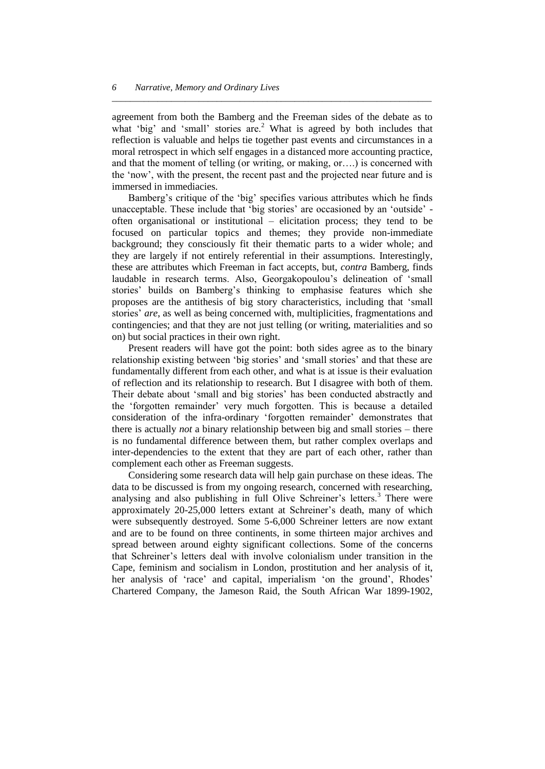agreement from both the Bamberg and the Freeman sides of the debate as to what 'big' and 'small' stories are.<sup>2</sup> What is agreed by both includes that reflection is valuable and helps tie together past events and circumstances in a moral retrospect in which self engages in a distanced more accounting practice, and that the moment of telling (or writing, or making, or….) is concerned with the 'now', with the present, the recent past and the projected near future and is immersed in immediacies.

*\_\_\_\_\_\_\_\_\_\_\_\_\_\_\_\_\_\_\_\_\_\_\_\_\_\_\_\_\_\_\_\_\_\_\_\_\_\_\_\_\_\_\_\_\_\_\_\_\_\_\_\_\_\_\_\_\_\_\_\_\_\_\_\_\_\_\_\_\_\_*

Bamberg's critique of the 'big' specifies various attributes which he finds unacceptable. These include that 'big stories' are occasioned by an 'outside' often organisational or institutional – elicitation process; they tend to be focused on particular topics and themes; they provide non-immediate background; they consciously fit their thematic parts to a wider whole; and they are largely if not entirely referential in their assumptions. Interestingly, these are attributes which Freeman in fact accepts, but, *contra* Bamberg, finds laudable in research terms. Also, Georgakopoulou's delineation of 'small stories' builds on Bamberg's thinking to emphasise features which she proposes are the antithesis of big story characteristics, including that ‗small stories' *are*, as well as being concerned with, multiplicities, fragmentations and contingencies; and that they are not just telling (or writing, materialities and so on) but social practices in their own right.

Present readers will have got the point: both sides agree as to the binary relationship existing between 'big stories' and 'small stories' and that these are fundamentally different from each other, and what is at issue is their evaluation of reflection and its relationship to research. But I disagree with both of them. Their debate about 'small and big stories' has been conducted abstractly and the ‗forgotten remainder' very much forgotten. This is because a detailed consideration of the infra-ordinary ‗forgotten remainder' demonstrates that there is actually *not* a binary relationship between big and small stories – there is no fundamental difference between them, but rather complex overlaps and inter-dependencies to the extent that they are part of each other, rather than complement each other as Freeman suggests.

Considering some research data will help gain purchase on these ideas. The data to be discussed is from my ongoing research, concerned with researching, analysing and also publishing in full Olive Schreiner's letters.<sup>3</sup> There were approximately 20-25,000 letters extant at Schreiner's death, many of which were subsequently destroyed. Some 5-6,000 Schreiner letters are now extant and are to be found on three continents, in some thirteen major archives and spread between around eighty significant collections. Some of the concerns that Schreiner's letters deal with involve colonialism under transition in the Cape, feminism and socialism in London, prostitution and her analysis of it, her analysis of 'race' and capital, imperialism 'on the ground', Rhodes' Chartered Company, the Jameson Raid, the South African War 1899-1902,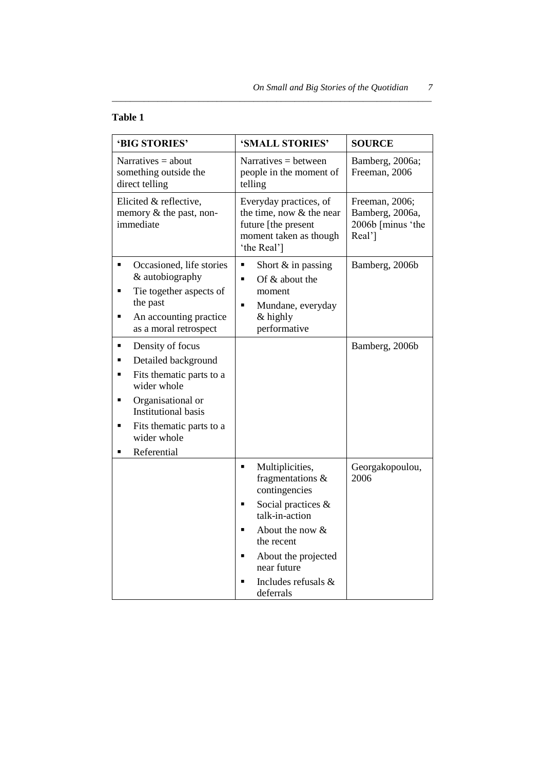# **Table 1**

| 'BIG STORIES'                                                                                                                                                                                                                 | 'SMALL STORIES'                                                                                                                                                                                                                                    | <b>SOURCE</b>                                                    |
|-------------------------------------------------------------------------------------------------------------------------------------------------------------------------------------------------------------------------------|----------------------------------------------------------------------------------------------------------------------------------------------------------------------------------------------------------------------------------------------------|------------------------------------------------------------------|
| Narratives $=$ about<br>something outside the<br>direct telling                                                                                                                                                               | Narratives $=$ between<br>people in the moment of<br>telling                                                                                                                                                                                       | Bamberg, 2006a;<br>Freeman, 2006                                 |
| Elicited & reflective,<br>memory $\&$ the past, non-<br>immediate                                                                                                                                                             | Everyday practices, of<br>the time, now & the near<br>future [the present<br>moment taken as though<br>'the Real']                                                                                                                                 | Freeman, 2006;<br>Bamberg, 2006a,<br>2006b [minus 'the<br>Real'] |
| Occasioned, life stories<br>٠<br>& autobiography<br>Tie together aspects of<br>٠<br>the past<br>An accounting practice<br>٠<br>as a moral retrospect                                                                          | Short $&$ in passing<br>٠<br>Of & about the<br>$\blacksquare$<br>moment<br>Mundane, everyday<br>Ξ<br>& highly<br>performative                                                                                                                      | Bamberg, 2006b                                                   |
| Density of focus<br>٠<br>Detailed background<br>٠<br>Fits thematic parts to a<br>٠<br>wider whole<br>Organisational or<br>٠<br><b>Institutional basis</b><br>Fits thematic parts to a<br>٠<br>wider whole<br>Referential<br>٠ |                                                                                                                                                                                                                                                    | Bamberg, 2006b                                                   |
|                                                                                                                                                                                                                               | Multiplicities,<br>$\blacksquare$<br>fragmentations &<br>contingencies<br>Social practices &<br>talk-in-action<br>About the now $&$<br>$\blacksquare$<br>the recent<br>About the projected<br>Ξ<br>near future<br>Includes refusals &<br>deferrals | Georgakopoulou,<br>2006                                          |

*\_\_\_\_\_\_\_\_\_\_\_\_\_\_\_\_\_\_\_\_\_\_\_\_\_\_\_\_\_\_\_\_\_\_\_\_\_\_\_\_\_\_\_\_\_\_\_\_\_\_\_\_\_\_\_\_\_\_\_\_\_\_\_\_\_\_\_\_\_\_*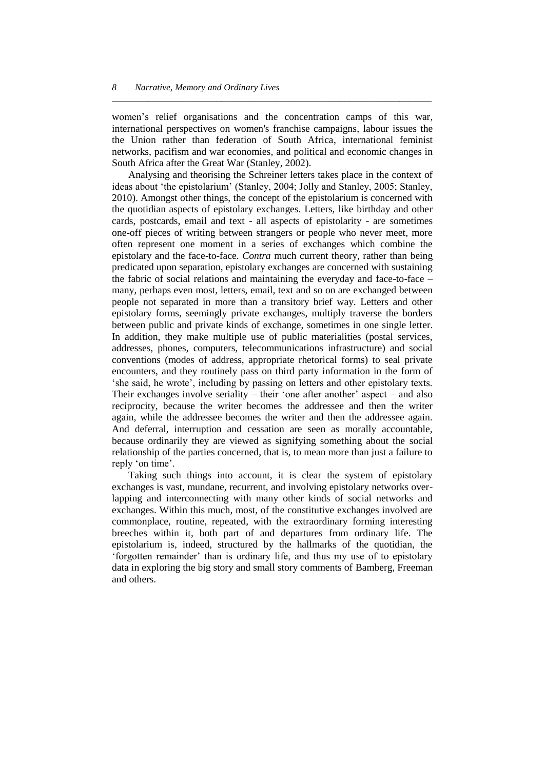women's relief organisations and the concentration camps of this war, international perspectives on women's franchise campaigns, labour issues the the Union rather than federation of South Africa, international feminist networks, pacifism and war economies, and political and economic changes in South Africa after the Great War (Stanley, 2002).

*\_\_\_\_\_\_\_\_\_\_\_\_\_\_\_\_\_\_\_\_\_\_\_\_\_\_\_\_\_\_\_\_\_\_\_\_\_\_\_\_\_\_\_\_\_\_\_\_\_\_\_\_\_\_\_\_\_\_\_\_\_\_\_\_\_\_\_\_\_\_*

Analysing and theorising the Schreiner letters takes place in the context of ideas about 'the epistolarium' (Stanley, 2004; Jolly and Stanley, 2005; Stanley, 2010). Amongst other things, the concept of the epistolarium is concerned with the quotidian aspects of epistolary exchanges. Letters, like birthday and other cards, postcards, email and text - all aspects of epistolarity - are sometimes one-off pieces of writing between strangers or people who never meet, more often represent one moment in a series of exchanges which combine the epistolary and the face-to-face. *Contra* much current theory, rather than being predicated upon separation, epistolary exchanges are concerned with sustaining the fabric of social relations and maintaining the everyday and face-to-face – many, perhaps even most, letters, email, text and so on are exchanged between people not separated in more than a transitory brief way. Letters and other epistolary forms, seemingly private exchanges, multiply traverse the borders between public and private kinds of exchange, sometimes in one single letter. In addition, they make multiple use of public materialities (postal services, addresses, phones, computers, telecommunications infrastructure) and social conventions (modes of address, appropriate rhetorical forms) to seal private encounters, and they routinely pass on third party information in the form of ‗she said, he wrote', including by passing on letters and other epistolary texts. Their exchanges involve seriality – their 'one after another' aspect – and also reciprocity, because the writer becomes the addressee and then the writer again, while the addressee becomes the writer and then the addressee again. And deferral, interruption and cessation are seen as morally accountable, because ordinarily they are viewed as signifying something about the social relationship of the parties concerned, that is, to mean more than just a failure to reply 'on time'.

Taking such things into account, it is clear the system of epistolary exchanges is vast, mundane, recurrent, and involving epistolary networks overlapping and interconnecting with many other kinds of social networks and exchanges. Within this much, most, of the constitutive exchanges involved are commonplace, routine, repeated, with the extraordinary forming interesting breeches within it, both part of and departures from ordinary life. The epistolarium is, indeed, structured by the hallmarks of the quotidian, the ‗forgotten remainder' than is ordinary life, and thus my use of to epistolary data in exploring the big story and small story comments of Bamberg, Freeman and others.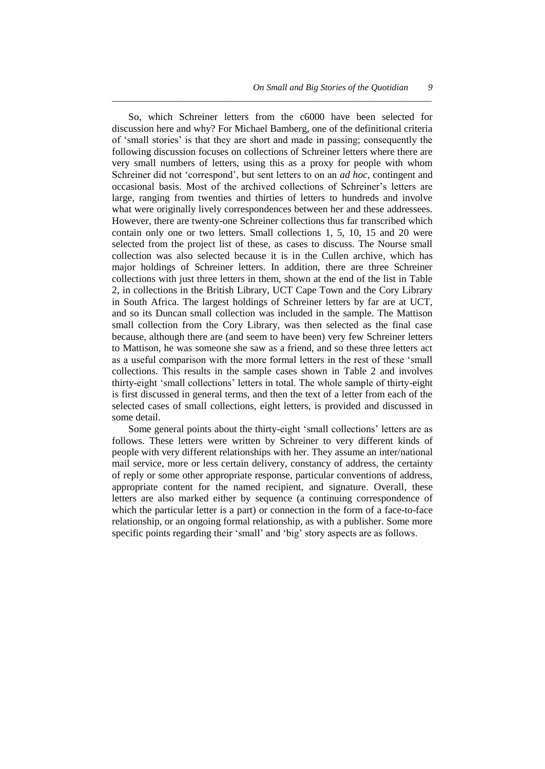*9*

So, which Schreiner letters from the c6000 have been selected for discussion here and why? For Michael Bamberg, one of the definitional criteria of ‗small stories' is that they are short and made in passing; consequently the following discussion focuses on collections of Schreiner letters where there are very small numbers of letters, using this as a proxy for people with whom Schreiner did not 'correspond', but sent letters to on an *ad hoc*, contingent and occasional basis. Most of the archived collections of Schreiner's letters are large, ranging from twenties and thirties of letters to hundreds and involve what were originally lively correspondences between her and these addressees. However, there are twenty-one Schreiner collections thus far transcribed which contain only one or two letters. Small collections 1, 5, 10, 15 and 20 were selected from the project list of these, as cases to discuss. The Nourse small collection was also selected because it is in the Cullen archive, which has major holdings of Schreiner letters. In addition, there are three Schreiner collections with just three letters in them, shown at the end of the list in Table 2, in collections in the British Library, UCT Cape Town and the Cory Library in South Africa. The largest holdings of Schreiner letters by far are at UCT, and so its Duncan small collection was included in the sample. The Mattison small collection from the Cory Library, was then selected as the final case because, although there are (and seem to have been) very few Schreiner letters to Mattison, he was someone she saw as a friend, and so these three letters act as a useful comparison with the more formal letters in the rest of these 'small collections. This results in the sample cases shown in Table 2 and involves thirty-eight ‗small collections' letters in total. The whole sample of thirty-eight is first discussed in general terms, and then the text of a letter from each of the selected cases of small collections, eight letters, is provided and discussed in some detail.

*\_\_\_\_\_\_\_\_\_\_\_\_\_\_\_\_\_\_\_\_\_\_\_\_\_\_\_\_\_\_\_\_\_\_\_\_\_\_\_\_\_\_\_\_\_\_\_\_\_\_\_\_\_\_\_\_\_\_\_\_\_\_\_\_\_\_\_\_\_\_*

Some general points about the thirty-eight 'small collections' letters are as follows. These letters were written by Schreiner to very different kinds of people with very different relationships with her. They assume an inter/national mail service, more or less certain delivery, constancy of address, the certainty of reply or some other appropriate response, particular conventions of address, appropriate content for the named recipient, and signature. Overall, these letters are also marked either by sequence (a continuing correspondence of which the particular letter is a part) or connection in the form of a face-to-face relationship, or an ongoing formal relationship, as with a publisher. Some more specific points regarding their 'small' and 'big' story aspects are as follows.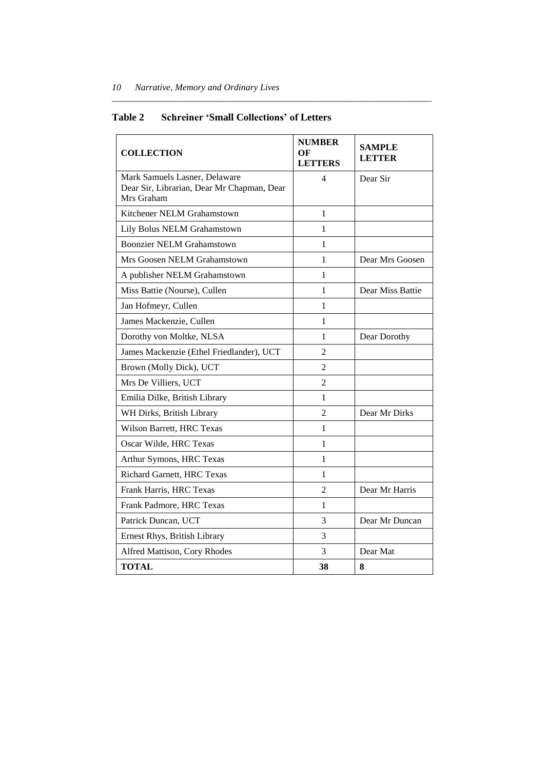| <b>COLLECTION</b>                                                                         | <b>NUMBER</b><br>OF<br><b>LETTERS</b> | <b>SAMPLE</b><br><b>LETTER</b> |
|-------------------------------------------------------------------------------------------|---------------------------------------|--------------------------------|
| Mark Samuels Lasner, Delaware<br>Dear Sir, Librarian, Dear Mr Chapman, Dear<br>Mrs Graham | 4                                     | Dear Sir                       |
| Kitchener NELM Grahamstown                                                                | 1                                     |                                |
| Lily Bolus NELM Grahamstown                                                               | 1                                     |                                |
| <b>Boonzier NELM Grahamstown</b>                                                          | 1                                     |                                |
| Mrs Goosen NELM Grahamstown                                                               | 1                                     | Dear Mrs Goosen                |
| A publisher NELM Grahamstown                                                              | 1                                     |                                |
| Miss Battie (Nourse), Cullen                                                              | 1                                     | Dear Miss Battie               |
| Jan Hofmeyr, Cullen                                                                       | 1                                     |                                |
| James Mackenzie, Cullen                                                                   | 1                                     |                                |
| Dorothy von Moltke, NLSA                                                                  | 1                                     | Dear Dorothy                   |
| James Mackenzie (Ethel Friedlander), UCT                                                  | $\mathfrak{D}$                        |                                |
| Brown (Molly Dick), UCT                                                                   | $\overline{c}$                        |                                |
| Mrs De Villiers, UCT                                                                      | $\overline{2}$                        |                                |
| Emilia Dilke, British Library                                                             | 1                                     |                                |
| WH Dirks, British Library                                                                 | 2                                     | Dear Mr Dirks                  |
| Wilson Barrett, HRC Texas                                                                 | 1                                     |                                |
| Oscar Wilde, HRC Texas                                                                    | 1                                     |                                |
| Arthur Symons, HRC Texas                                                                  | 1                                     |                                |
| Richard Garnett, HRC Texas                                                                | 1                                     |                                |
| Frank Harris, HRC Texas                                                                   | $\overline{2}$                        | Dear Mr Harris                 |
| Frank Padmore, HRC Texas                                                                  | $\mathbf{1}$                          |                                |
| Patrick Duncan, UCT                                                                       | 3                                     | Dear Mr Duncan                 |
| Ernest Rhys, British Library                                                              | 3                                     |                                |
| Alfred Mattison, Cory Rhodes                                                              | 3                                     | Dear Mat                       |
| <b>TOTAL</b>                                                                              | 38                                    | 8                              |

# **Table 2 Schreiner 'Small Collections' of Letters**

*\_\_\_\_\_\_\_\_\_\_\_\_\_\_\_\_\_\_\_\_\_\_\_\_\_\_\_\_\_\_\_\_\_\_\_\_\_\_\_\_\_\_\_\_\_\_\_\_\_\_\_\_\_\_\_\_\_\_\_\_\_\_\_\_\_\_\_\_\_\_*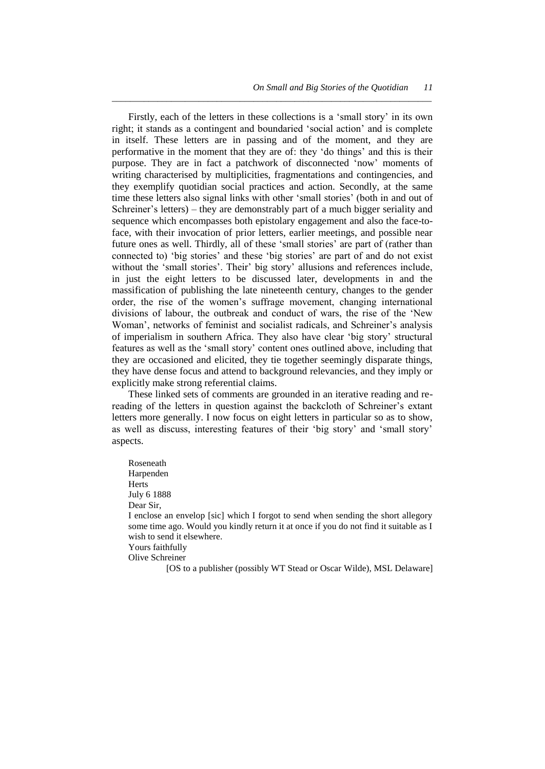Firstly, each of the letters in these collections is a 'small story' in its own right; it stands as a contingent and boundaried 'social action' and is complete in itself. These letters are in passing and of the moment, and they are performative in the moment that they are of: they 'do things' and this is their purpose. They are in fact a patchwork of disconnected 'now' moments of writing characterised by multiplicities, fragmentations and contingencies, and they exemplify quotidian social practices and action. Secondly, at the same time these letters also signal links with other 'small stories' (both in and out of Schreiner's letters) – they are demonstrably part of a much bigger seriality and sequence which encompasses both epistolary engagement and also the face-toface, with their invocation of prior letters, earlier meetings, and possible near future ones as well. Thirdly, all of these 'small stories' are part of (rather than connected to) 'big stories' and these 'big stories' are part of and do not exist without the 'small stories'. Their' big story' allusions and references include, in just the eight letters to be discussed later, developments in and the massification of publishing the late nineteenth century, changes to the gender order, the rise of the women's suffrage movement, changing international divisions of labour, the outbreak and conduct of wars, the rise of the 'New Woman', networks of feminist and socialist radicals, and Schreiner's analysis of imperialism in southern Africa. They also have clear 'big story' structural features as well as the 'small story' content ones outlined above, including that they are occasioned and elicited, they tie together seemingly disparate things, they have dense focus and attend to background relevancies, and they imply or explicitly make strong referential claims.

*\_\_\_\_\_\_\_\_\_\_\_\_\_\_\_\_\_\_\_\_\_\_\_\_\_\_\_\_\_\_\_\_\_\_\_\_\_\_\_\_\_\_\_\_\_\_\_\_\_\_\_\_\_\_\_\_\_\_\_\_\_\_\_\_\_\_\_\_\_\_*

These linked sets of comments are grounded in an iterative reading and rereading of the letters in question against the backcloth of Schreiner's extant letters more generally. I now focus on eight letters in particular so as to show, as well as discuss, interesting features of their 'big story' and 'small story' aspects.

Roseneath Harpenden Herts July 6 1888 Dear Sir, I enclose an envelop [sic] which I forgot to send when sending the short allegory some time ago. Would you kindly return it at once if you do not find it suitable as I wish to send it elsewhere. Yours faithfully

Olive Schreiner

[OS to a publisher (possibly WT Stead or Oscar Wilde), MSL Delaware]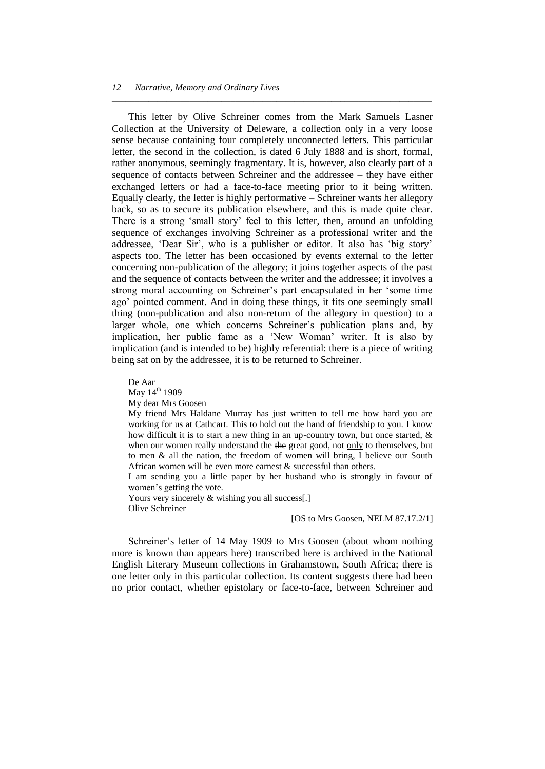This letter by Olive Schreiner comes from the Mark Samuels Lasner Collection at the University of Deleware, a collection only in a very loose sense because containing four completely unconnected letters. This particular letter, the second in the collection, is dated 6 July 1888 and is short, formal, rather anonymous, seemingly fragmentary. It is, however, also clearly part of a sequence of contacts between Schreiner and the addressee – they have either exchanged letters or had a face-to-face meeting prior to it being written. Equally clearly, the letter is highly performative – Schreiner wants her allegory back, so as to secure its publication elsewhere, and this is made quite clear. There is a strong 'small story' feel to this letter, then, around an unfolding sequence of exchanges involving Schreiner as a professional writer and the addressee, 'Dear Sir', who is a publisher or editor. It also has 'big story' aspects too. The letter has been occasioned by events external to the letter concerning non-publication of the allegory; it joins together aspects of the past and the sequence of contacts between the writer and the addressee; it involves a strong moral accounting on Schreiner's part encapsulated in her 'some time ago' pointed comment. And in doing these things, it fits one seemingly small thing (non-publication and also non-return of the allegory in question) to a larger whole, one which concerns Schreiner's publication plans and, by implication, her public fame as a 'New Woman' writer. It is also by implication (and is intended to be) highly referential: there is a piece of writing being sat on by the addressee, it is to be returned to Schreiner.

*\_\_\_\_\_\_\_\_\_\_\_\_\_\_\_\_\_\_\_\_\_\_\_\_\_\_\_\_\_\_\_\_\_\_\_\_\_\_\_\_\_\_\_\_\_\_\_\_\_\_\_\_\_\_\_\_\_\_\_\_\_\_\_\_\_\_\_\_\_\_*

De Aar May 14<sup>th</sup> 1909 My dear Mrs Goosen My friend Mrs Haldane Murray has just written to tell me how hard you are working for us at Cathcart. This to hold out the hand of friendship to you. I know how difficult it is to start a new thing in an up-country town, but once started,  $\&$ when our women really understand the the great good, not only to themselves, but to men & all the nation, the freedom of women will bring, I believe our South African women will be even more earnest & successful than others. I am sending you a little paper by her husband who is strongly in favour of women's getting the vote.

Yours very sincerely & wishing you all success[.] Olive Schreiner

#### [OS to Mrs Goosen, NELM 87.17.2/1]

Schreiner's letter of 14 May 1909 to Mrs Goosen (about whom nothing more is known than appears here) transcribed here is archived in the National English Literary Museum collections in Grahamstown, South Africa; there is one letter only in this particular collection. Its content suggests there had been no prior contact, whether epistolary or face-to-face, between Schreiner and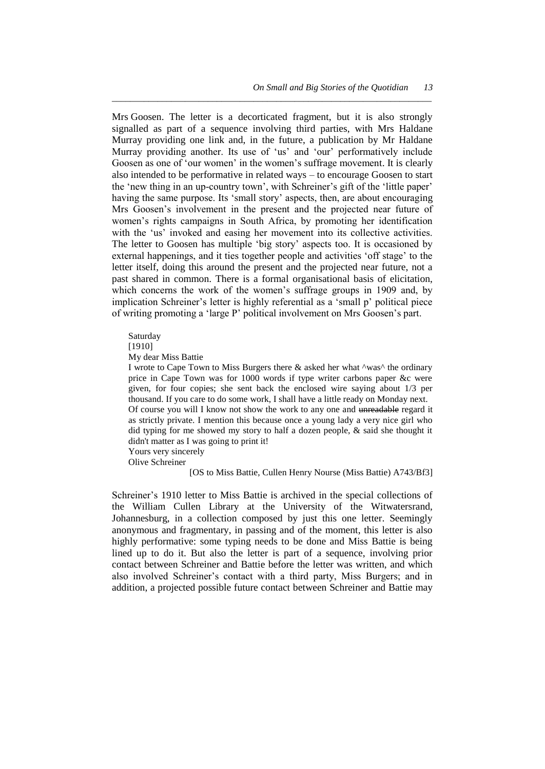Mrs Goosen. The letter is a decorticated fragment, but it is also strongly signalled as part of a sequence involving third parties, with Mrs Haldane Murray providing one link and, in the future, a publication by Mr Haldane Murray providing another. Its use of 'us' and 'our' performatively include Goosen as one of 'our women' in the women's suffrage movement. It is clearly also intended to be performative in related ways – to encourage Goosen to start the 'new thing in an up-country town', with Schreiner's gift of the 'little paper' having the same purpose. Its 'small story' aspects, then, are about encouraging Mrs Goosen's involvement in the present and the projected near future of women's rights campaigns in South Africa, by promoting her identification with the 'us' invoked and easing her movement into its collective activities. The letter to Goosen has multiple 'big story' aspects too. It is occasioned by external happenings, and it ties together people and activities 'off stage' to the letter itself, doing this around the present and the projected near future, not a past shared in common. There is a formal organisational basis of elicitation, which concerns the work of the women's suffrage groups in 1909 and, by implication Schreiner's letter is highly referential as a 'small p' political piece of writing promoting a ‗large P' political involvement on Mrs Goosen's part.

*\_\_\_\_\_\_\_\_\_\_\_\_\_\_\_\_\_\_\_\_\_\_\_\_\_\_\_\_\_\_\_\_\_\_\_\_\_\_\_\_\_\_\_\_\_\_\_\_\_\_\_\_\_\_\_\_\_\_\_\_\_\_\_\_\_\_\_\_\_\_*

Saturday

[1910]

My dear Miss Battie

I wrote to Cape Town to Miss Burgers there  $\&$  asked her what  $\wedge$ was $\wedge$  the ordinary price in Cape Town was for 1000 words if type writer carbons paper &c were given, for four copies; she sent back the enclosed wire saying about 1/3 per thousand. If you care to do some work, I shall have a little ready on Monday next. Of course you will I know not show the work to any one and unreadable regard it as strictly private. I mention this because once a young lady a very nice girl who did typing for me showed my story to half a dozen people, & said she thought it didn't matter as I was going to print it! Yours very sincerely

Olive Schreiner

[OS to Miss Battie, Cullen Henry Nourse (Miss Battie) A743/Bf3]

Schreiner's 1910 letter to Miss Battie is archived in the special collections of the William Cullen Library at the University of the Witwatersrand, Johannesburg, in a collection composed by just this one letter. Seemingly anonymous and fragmentary, in passing and of the moment, this letter is also highly performative: some typing needs to be done and Miss Battie is being lined up to do it. But also the letter is part of a sequence, involving prior contact between Schreiner and Battie before the letter was written, and which also involved Schreiner's contact with a third party, Miss Burgers; and in addition, a projected possible future contact between Schreiner and Battie may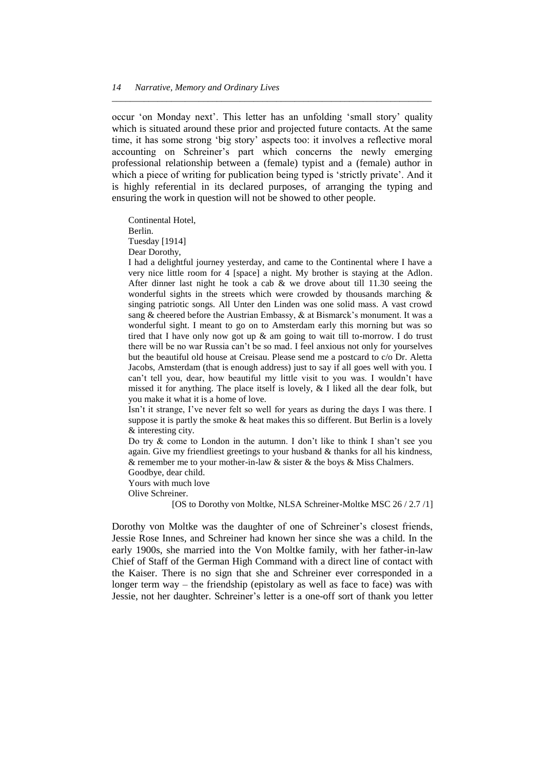occur 'on Monday next'. This letter has an unfolding 'small story' quality which is situated around these prior and projected future contacts. At the same time, it has some strong 'big story' aspects too: it involves a reflective moral accounting on Schreiner's part which concerns the newly emerging professional relationship between a (female) typist and a (female) author in which a piece of writing for publication being typed is 'strictly private'. And it is highly referential in its declared purposes, of arranging the typing and ensuring the work in question will not be showed to other people.

*\_\_\_\_\_\_\_\_\_\_\_\_\_\_\_\_\_\_\_\_\_\_\_\_\_\_\_\_\_\_\_\_\_\_\_\_\_\_\_\_\_\_\_\_\_\_\_\_\_\_\_\_\_\_\_\_\_\_\_\_\_\_\_\_\_\_\_\_\_\_*

Continental Hotel, Berlin. Tuesday [1914] Dear Dorothy,

I had a delightful journey yesterday, and came to the Continental where I have a very nice little room for 4 [space] a night. My brother is staying at the Adlon. After dinner last night he took a cab & we drove about till 11.30 seeing the wonderful sights in the streets which were crowded by thousands marching & singing patriotic songs. All Unter den Linden was one solid mass. A vast crowd sang & cheered before the Austrian Embassy, & at Bismarck's monument. It was a wonderful sight. I meant to go on to Amsterdam early this morning but was so tired that I have only now got up & am going to wait till to-morrow. I do trust there will be no war Russia can't be so mad. I feel anxious not only for yourselves but the beautiful old house at Creisau. Please send me a postcard to c/o Dr. Aletta Jacobs, Amsterdam (that is enough address) just to say if all goes well with you. I can't tell you, dear, how beautiful my little visit to you was. I wouldn't have missed it for anything. The place itself is lovely, & I liked all the dear folk, but you make it what it is a home of love.

Isn't it strange, I've never felt so well for years as during the days I was there. I suppose it is partly the smoke & heat makes this so different. But Berlin is a lovely & interesting city.

Do try  $\&$  come to London in the autumn. I don't like to think I shan't see you again. Give my friendliest greetings to your husband & thanks for all his kindness, & remember me to your mother-in-law  $&$  sister  $&$  the boys  $&$  Miss Chalmers.

Goodbye, dear child. Yours with much love

Olive Schreiner.

[OS to Dorothy von Moltke, NLSA Schreiner-Moltke MSC 26 / 2.7 /1]

Dorothy von Moltke was the daughter of one of Schreiner's closest friends, Jessie Rose Innes, and Schreiner had known her since she was a child. In the early 1900s, she married into the Von Moltke family, with her father-in-law Chief of Staff of the German High Command with a direct line of contact with the Kaiser. There is no sign that she and Schreiner ever corresponded in a longer term way – the friendship (epistolary as well as face to face) was with Jessie, not her daughter. Schreiner's letter is a one-off sort of thank you letter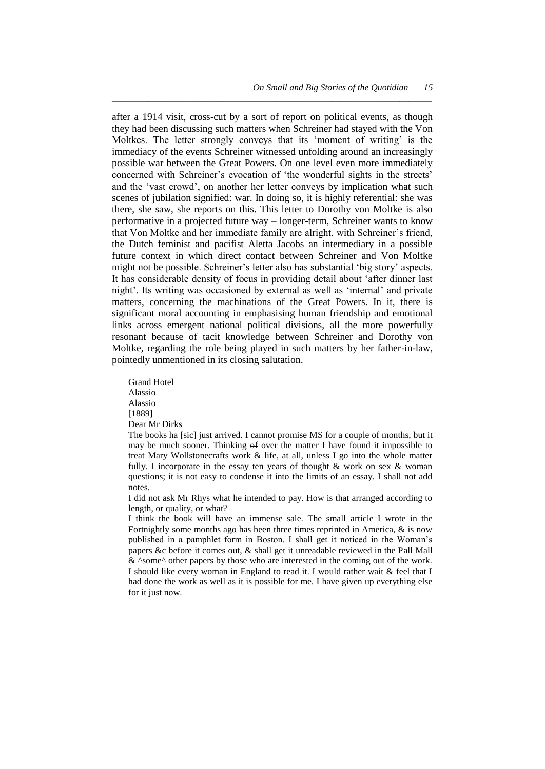after a 1914 visit, cross-cut by a sort of report on political events, as though they had been discussing such matters when Schreiner had stayed with the Von Moltkes. The letter strongly conveys that its 'moment of writing' is the immediacy of the events Schreiner witnessed unfolding around an increasingly possible war between the Great Powers. On one level even more immediately concerned with Schreiner's evocation of 'the wonderful sights in the streets' and the 'vast crowd', on another her letter conveys by implication what such scenes of jubilation signified: war. In doing so, it is highly referential: she was there, she saw, she reports on this. This letter to Dorothy von Moltke is also performative in a projected future way – longer-term, Schreiner wants to know that Von Moltke and her immediate family are alright, with Schreiner's friend, the Dutch feminist and pacifist Aletta Jacobs an intermediary in a possible future context in which direct contact between Schreiner and Von Moltke might not be possible. Schreiner's letter also has substantial 'big story' aspects. It has considerable density of focus in providing detail about 'after dinner last night'. Its writing was occasioned by external as well as 'internal' and private matters, concerning the machinations of the Great Powers. In it, there is significant moral accounting in emphasising human friendship and emotional links across emergent national political divisions, all the more powerfully resonant because of tacit knowledge between Schreiner and Dorothy von Moltke, regarding the role being played in such matters by her father-in-law, pointedly unmentioned in its closing salutation.

*\_\_\_\_\_\_\_\_\_\_\_\_\_\_\_\_\_\_\_\_\_\_\_\_\_\_\_\_\_\_\_\_\_\_\_\_\_\_\_\_\_\_\_\_\_\_\_\_\_\_\_\_\_\_\_\_\_\_\_\_\_\_\_\_\_\_\_\_\_\_*

Grand Hotel Alassio Alassio [1889] Dear Mr Dirks

The books ha [sic] just arrived. I cannot promise MS for a couple of months, but it may be much sooner. Thinking  $\Theta$  over the matter I have found it impossible to treat Mary Wollstonecrafts work & life, at all, unless I go into the whole matter fully. I incorporate in the essay ten years of thought  $\&$  work on sex  $\&$  woman questions; it is not easy to condense it into the limits of an essay. I shall not add notes.

I did not ask Mr Rhys what he intended to pay. How is that arranged according to length, or quality, or what?

I think the book will have an immense sale. The small article I wrote in the Fortnightly some months ago has been three times reprinted in America, & is now published in a pamphlet form in Boston. I shall get it noticed in the Woman's papers &c before it comes out, & shall get it unreadable reviewed in the Pall Mall & ^some^ other papers by those who are interested in the coming out of the work. I should like every woman in England to read it. I would rather wait & feel that I had done the work as well as it is possible for me. I have given up everything else for it just now.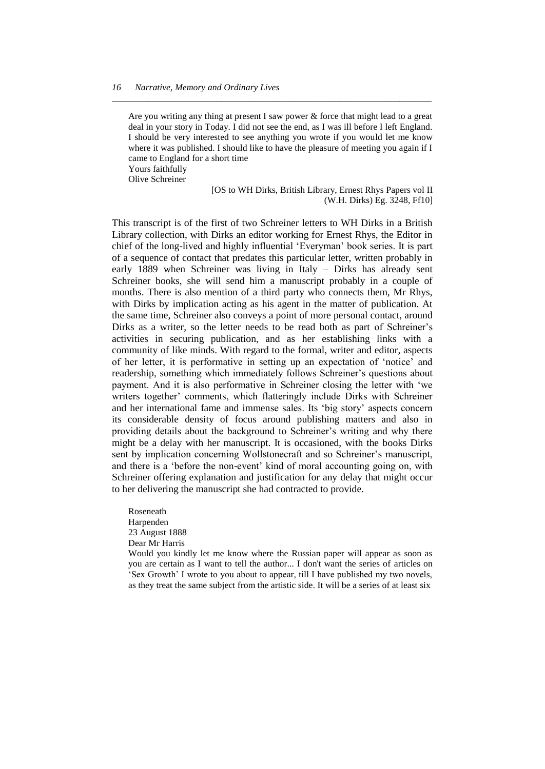Are you writing any thing at present I saw power & force that might lead to a great deal in your story in Today. I did not see the end, as I was ill before I left England. I should be very interested to see anything you wrote if you would let me know where it was published. I should like to have the pleasure of meeting you again if I came to England for a short time

*\_\_\_\_\_\_\_\_\_\_\_\_\_\_\_\_\_\_\_\_\_\_\_\_\_\_\_\_\_\_\_\_\_\_\_\_\_\_\_\_\_\_\_\_\_\_\_\_\_\_\_\_\_\_\_\_\_\_\_\_\_\_\_\_\_\_\_\_\_\_*

Yours faithfully Olive Schreiner

> [OS to WH Dirks, British Library, Ernest Rhys Papers vol II (W.H. Dirks) Eg. 3248, Ff10]

This transcript is of the first of two Schreiner letters to WH Dirks in a British Library collection, with Dirks an editor working for Ernest Rhys, the Editor in chief of the long-lived and highly influential 'Everyman' book series. It is part of a sequence of contact that predates this particular letter, written probably in early 1889 when Schreiner was living in Italy – Dirks has already sent Schreiner books, she will send him a manuscript probably in a couple of months. There is also mention of a third party who connects them, Mr Rhys, with Dirks by implication acting as his agent in the matter of publication. At the same time, Schreiner also conveys a point of more personal contact, around Dirks as a writer, so the letter needs to be read both as part of Schreiner's activities in securing publication, and as her establishing links with a community of like minds. With regard to the formal, writer and editor, aspects of her letter, it is performative in setting up an expectation of ‗notice' and readership, something which immediately follows Schreiner's questions about payment. And it is also performative in Schreiner closing the letter with 'we writers together' comments, which flatteringly include Dirks with Schreiner and her international fame and immense sales. Its 'big story' aspects concern its considerable density of focus around publishing matters and also in providing details about the background to Schreiner's writing and why there might be a delay with her manuscript. It is occasioned, with the books Dirks sent by implication concerning Wollstonecraft and so Schreiner's manuscript, and there is a 'before the non-event' kind of moral accounting going on, with Schreiner offering explanation and justification for any delay that might occur to her delivering the manuscript she had contracted to provide.

Roseneath Harpenden 23 August 1888 Dear Mr Harris Would you kindly let me know where the Russian paper will appear as soon as you are certain as I want to tell the author... I don't want the series of articles on ‗Sex Growth' I wrote to you about to appear, till I have published my two novels, as they treat the same subject from the artistic side. It will be a series of at least six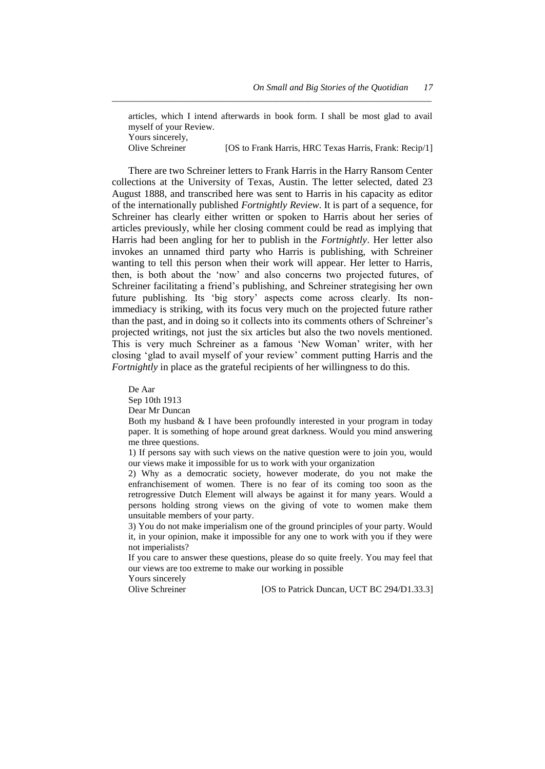articles, which I intend afterwards in book form. I shall be most glad to avail myself of your Review. Yours sincerely,<br>Olive Schreiner [OS to Frank Harris, HRC Texas Harris, Frank: Recip/1]

*\_\_\_\_\_\_\_\_\_\_\_\_\_\_\_\_\_\_\_\_\_\_\_\_\_\_\_\_\_\_\_\_\_\_\_\_\_\_\_\_\_\_\_\_\_\_\_\_\_\_\_\_\_\_\_\_\_\_\_\_\_\_\_\_\_\_\_\_\_\_*

There are two Schreiner letters to Frank Harris in the Harry Ransom Center collections at the University of Texas, Austin. The letter selected, dated 23 August 1888, and transcribed here was sent to Harris in his capacity as editor of the internationally published *Fortnightly Review*. It is part of a sequence, for Schreiner has clearly either written or spoken to Harris about her series of articles previously, while her closing comment could be read as implying that Harris had been angling for her to publish in the *Fortnightly*. Her letter also invokes an unnamed third party who Harris is publishing, with Schreiner wanting to tell this person when their work will appear. Her letter to Harris, then, is both about the 'now' and also concerns two projected futures, of Schreiner facilitating a friend's publishing, and Schreiner strategising her own future publishing. Its 'big story' aspects come across clearly. Its nonimmediacy is striking, with its focus very much on the projected future rather than the past, and in doing so it collects into its comments others of Schreiner's projected writings, not just the six articles but also the two novels mentioned. This is very much Schreiner as a famous 'New Woman' writer, with her closing ‗glad to avail myself of your review' comment putting Harris and the *Fortnightly* in place as the grateful recipients of her willingness to do this.

#### De Aar

Sep 10th 1913

Dear Mr Duncan

Both my husband & I have been profoundly interested in your program in today paper. It is something of hope around great darkness. Would you mind answering me three questions.

1) If persons say with such views on the native question were to join you, would our views make it impossible for us to work with your organization

2) Why as a democratic society, however moderate, do you not make the enfranchisement of women. There is no fear of its coming too soon as the retrogressive Dutch Element will always be against it for many years. Would a persons holding strong views on the giving of vote to women make them unsuitable members of your party.

3) You do not make imperialism one of the ground principles of your party. Would it, in your opinion, make it impossible for any one to work with you if they were not imperialists?

If you care to answer these questions, please do so quite freely. You may feel that our views are too extreme to make our working in possible

Yours sincerely

Olive Schreiner [OS to Patrick Duncan, UCT BC 294/D1.33.3]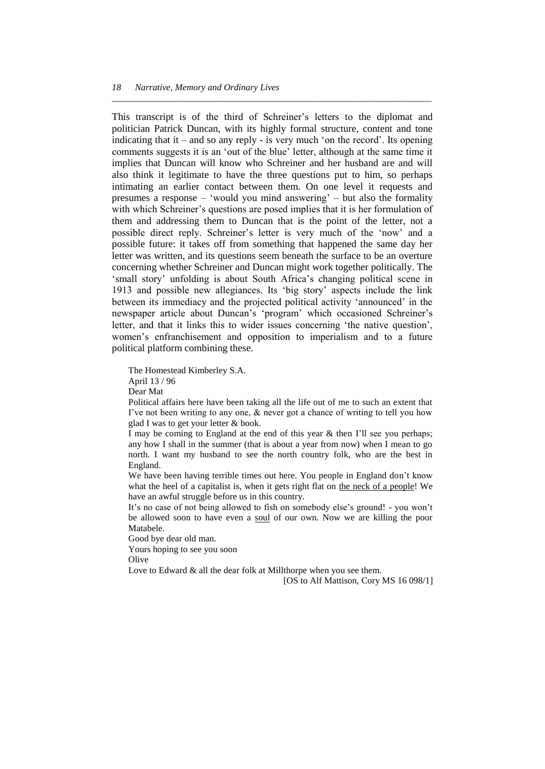This transcript is of the third of Schreiner's letters to the diplomat and politician Patrick Duncan, with its highly formal structure, content and tone indicating that it – and so any reply - is very much 'on the record'. Its opening comments suggests it is an 'out of the blue' letter, although at the same time it implies that Duncan will know who Schreiner and her husband are and will also think it legitimate to have the three questions put to him, so perhaps intimating an earlier contact between them. On one level it requests and presumes a response – 'would you mind answering' – but also the formality with which Schreiner's questions are posed implies that it is her formulation of them and addressing them to Duncan that is the point of the letter, not a possible direct reply. Schreiner's letter is very much of the 'now' and a possible future: it takes off from something that happened the same day her letter was written, and its questions seem beneath the surface to be an overture concerning whether Schreiner and Duncan might work together politically. The ‗small story' unfolding is about South Africa's changing political scene in 1913 and possible new allegiances. Its ‗big story' aspects include the link between its immediacy and the projected political activity 'announced' in the newspaper article about Duncan's 'program' which occasioned Schreiner's letter, and that it links this to wider issues concerning 'the native question', women's enfranchisement and opposition to imperialism and to a future political platform combining these.

*\_\_\_\_\_\_\_\_\_\_\_\_\_\_\_\_\_\_\_\_\_\_\_\_\_\_\_\_\_\_\_\_\_\_\_\_\_\_\_\_\_\_\_\_\_\_\_\_\_\_\_\_\_\_\_\_\_\_\_\_\_\_\_\_\_\_\_\_\_\_*

The Homestead Kimberley S.A. April 13 / 96

Dear Mat

Political affairs here have been taking all the life out of me to such an extent that I've not been writing to any one, & never got a chance of writing to tell you how glad I was to get your letter & book.

I may be coming to England at the end of this year & then I'll see you perhaps; any how I shall in the summer (that is about a year from now) when I mean to go north. I want my husband to see the north country folk, who are the best in England.

We have been having terrible times out here. You people in England don't know what the heel of a capitalist is, when it gets right flat on the neck of a people! We have an awful struggle before us in this country.

It's no case of not being allowed to fish on somebody else's ground! - you won't be allowed soon to have even a soul of our own. Now we are killing the poor Matabele.

Good bye dear old man.

Yours hoping to see you soon

**Olive** 

Love to Edward & all the dear folk at Millthorpe when you see them.

[OS to Alf Mattison, Cory MS 16 098/1]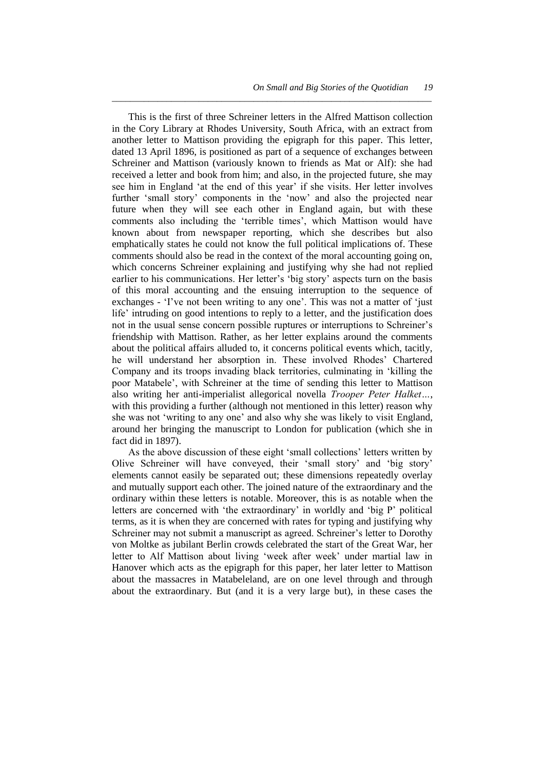This is the first of three Schreiner letters in the Alfred Mattison collection in the Cory Library at Rhodes University, South Africa, with an extract from another letter to Mattison providing the epigraph for this paper. This letter, dated 13 April 1896, is positioned as part of a sequence of exchanges between Schreiner and Mattison (variously known to friends as Mat or Alf): she had received a letter and book from him; and also, in the projected future, she may see him in England 'at the end of this year' if she visits. Her letter involves further 'small story' components in the 'now' and also the projected near future when they will see each other in England again, but with these comments also including the 'terrible times', which Mattison would have known about from newspaper reporting, which she describes but also emphatically states he could not know the full political implications of. These comments should also be read in the context of the moral accounting going on, which concerns Schreiner explaining and justifying why she had not replied earlier to his communications. Her letter's 'big story' aspects turn on the basis of this moral accounting and the ensuing interruption to the sequence of exchanges - 'I've not been writing to any one'. This was not a matter of 'just life' intruding on good intentions to reply to a letter, and the justification does not in the usual sense concern possible ruptures or interruptions to Schreiner's friendship with Mattison. Rather, as her letter explains around the comments about the political affairs alluded to, it concerns political events which, tacitly, he will understand her absorption in. These involved Rhodes' Chartered Company and its troops invading black territories, culminating in 'killing the poor Matabele', with Schreiner at the time of sending this letter to Mattison also writing her anti-imperialist allegorical novella *Trooper Peter Halket…*, with this providing a further (although not mentioned in this letter) reason why she was not 'writing to any one' and also why she was likely to visit England, around her bringing the manuscript to London for publication (which she in fact did in 1897).

*\_\_\_\_\_\_\_\_\_\_\_\_\_\_\_\_\_\_\_\_\_\_\_\_\_\_\_\_\_\_\_\_\_\_\_\_\_\_\_\_\_\_\_\_\_\_\_\_\_\_\_\_\_\_\_\_\_\_\_\_\_\_\_\_\_\_\_\_\_\_*

As the above discussion of these eight 'small collections' letters written by Olive Schreiner will have conveyed, their 'small story' and 'big story' elements cannot easily be separated out; these dimensions repeatedly overlay and mutually support each other. The joined nature of the extraordinary and the ordinary within these letters is notable. Moreover, this is as notable when the letters are concerned with 'the extraordinary' in worldly and 'big P' political terms, as it is when they are concerned with rates for typing and justifying why Schreiner may not submit a manuscript as agreed. Schreiner's letter to Dorothy von Moltke as jubilant Berlin crowds celebrated the start of the Great War, her letter to Alf Mattison about living 'week after week' under martial law in Hanover which acts as the epigraph for this paper, her later letter to Mattison about the massacres in Matabeleland, are on one level through and through about the extraordinary. But (and it is a very large but), in these cases the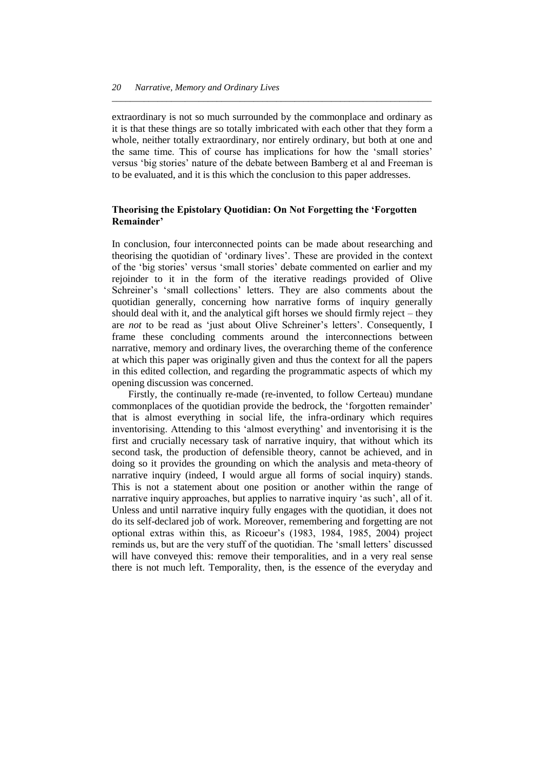extraordinary is not so much surrounded by the commonplace and ordinary as it is that these things are so totally imbricated with each other that they form a whole, neither totally extraordinary, nor entirely ordinary, but both at one and the same time. This of course has implications for how the 'small stories' versus ‗big stories' nature of the debate between Bamberg et al and Freeman is to be evaluated, and it is this which the conclusion to this paper addresses.

*\_\_\_\_\_\_\_\_\_\_\_\_\_\_\_\_\_\_\_\_\_\_\_\_\_\_\_\_\_\_\_\_\_\_\_\_\_\_\_\_\_\_\_\_\_\_\_\_\_\_\_\_\_\_\_\_\_\_\_\_\_\_\_\_\_\_\_\_\_\_*

# **Theorising the Epistolary Quotidian: On Not Forgetting the 'Forgotten Remainder'**

In conclusion, four interconnected points can be made about researching and theorising the quotidian of ‗ordinary lives'. These are provided in the context of the 'big stories' versus 'small stories' debate commented on earlier and my rejoinder to it in the form of the iterative readings provided of Olive Schreiner's 'small collections' letters. They are also comments about the quotidian generally, concerning how narrative forms of inquiry generally should deal with it, and the analytical gift horses we should firmly reject – they are *not* to be read as ‗just about Olive Schreiner's letters'. Consequently, I frame these concluding comments around the interconnections between narrative, memory and ordinary lives, the overarching theme of the conference at which this paper was originally given and thus the context for all the papers in this edited collection, and regarding the programmatic aspects of which my opening discussion was concerned.

Firstly, the continually re-made (re-invented, to follow Certeau) mundane commonplaces of the quotidian provide the bedrock, the 'forgotten remainder' that is almost everything in social life, the infra-ordinary which requires inventorising. Attending to this 'almost everything' and inventorising it is the first and crucially necessary task of narrative inquiry, that without which its second task, the production of defensible theory, cannot be achieved, and in doing so it provides the grounding on which the analysis and meta-theory of narrative inquiry (indeed, I would argue all forms of social inquiry) stands. This is not a statement about one position or another within the range of narrative inquiry approaches, but applies to narrative inquiry 'as such', all of it. Unless and until narrative inquiry fully engages with the quotidian, it does not do its self-declared job of work. Moreover, remembering and forgetting are not optional extras within this, as Ricoeur's (1983, 1984, 1985, 2004) project reminds us, but are the very stuff of the quotidian. The 'small letters' discussed will have conveyed this: remove their temporalities, and in a very real sense there is not much left. Temporality, then, is the essence of the everyday and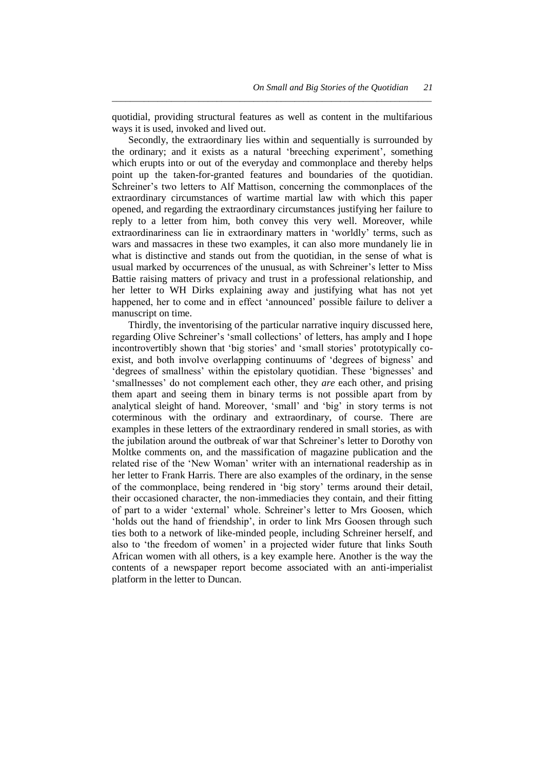quotidial, providing structural features as well as content in the multifarious ways it is used, invoked and lived out.

*\_\_\_\_\_\_\_\_\_\_\_\_\_\_\_\_\_\_\_\_\_\_\_\_\_\_\_\_\_\_\_\_\_\_\_\_\_\_\_\_\_\_\_\_\_\_\_\_\_\_\_\_\_\_\_\_\_\_\_\_\_\_\_\_\_\_\_\_\_\_*

Secondly, the extraordinary lies within and sequentially is surrounded by the ordinary; and it exists as a natural ‗breeching experiment', something which erupts into or out of the everyday and commonplace and thereby helps point up the taken-for-granted features and boundaries of the quotidian. Schreiner's two letters to Alf Mattison, concerning the commonplaces of the extraordinary circumstances of wartime martial law with which this paper opened, and regarding the extraordinary circumstances justifying her failure to reply to a letter from him, both convey this very well. Moreover, while extraordinariness can lie in extraordinary matters in 'worldly' terms, such as wars and massacres in these two examples, it can also more mundanely lie in what is distinctive and stands out from the quotidian, in the sense of what is usual marked by occurrences of the unusual, as with Schreiner's letter to Miss Battie raising matters of privacy and trust in a professional relationship, and her letter to WH Dirks explaining away and justifying what has not yet happened, her to come and in effect 'announced' possible failure to deliver a manuscript on time.

Thirdly, the inventorising of the particular narrative inquiry discussed here, regarding Olive Schreiner's 'small collections' of letters, has amply and I hope incontrovertibly shown that 'big stories' and 'small stories' prototypically coexist, and both involve overlapping continuums of 'degrees of bigness' and ‗degrees of smallness' within the epistolary quotidian. These ‗bignesses' and ‗smallnesses' do not complement each other, they *are* each other, and prising them apart and seeing them in binary terms is not possible apart from by analytical sleight of hand. Moreover, 'small' and 'big' in story terms is not coterminous with the ordinary and extraordinary, of course. There are examples in these letters of the extraordinary rendered in small stories, as with the jubilation around the outbreak of war that Schreiner's letter to Dorothy von Moltke comments on, and the massification of magazine publication and the related rise of the 'New Woman' writer with an international readership as in her letter to Frank Harris. There are also examples of the ordinary, in the sense of the commonplace, being rendered in ‗big story' terms around their detail, their occasioned character, the non-immediacies they contain, and their fitting of part to a wider ‗external' whole. Schreiner's letter to Mrs Goosen, which 'holds out the hand of friendship', in order to link Mrs Goosen through such ties both to a network of like-minded people, including Schreiner herself, and also to 'the freedom of women' in a projected wider future that links South African women with all others, is a key example here. Another is the way the contents of a newspaper report become associated with an anti-imperialist platform in the letter to Duncan.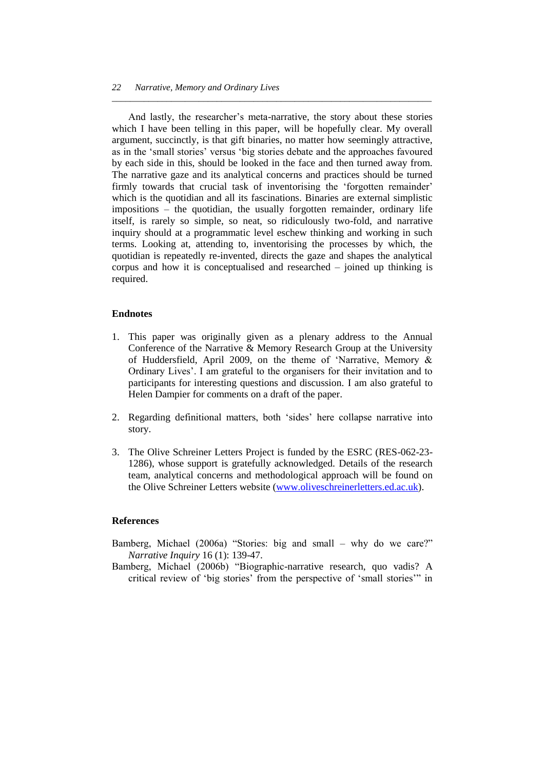And lastly, the researcher's meta-narrative, the story about these stories which I have been telling in this paper, will be hopefully clear. My overall argument, succinctly, is that gift binaries, no matter how seemingly attractive, as in the 'small stories' versus 'big stories debate and the approaches favoured by each side in this, should be looked in the face and then turned away from. The narrative gaze and its analytical concerns and practices should be turned firmly towards that crucial task of inventorising the 'forgotten remainder' which is the quotidian and all its fascinations. Binaries are external simplistic impositions – the quotidian, the usually forgotten remainder, ordinary life itself, is rarely so simple, so neat, so ridiculously two-fold, and narrative inquiry should at a programmatic level eschew thinking and working in such terms. Looking at, attending to, inventorising the processes by which, the quotidian is repeatedly re-invented, directs the gaze and shapes the analytical corpus and how it is conceptualised and researched – joined up thinking is required.

*\_\_\_\_\_\_\_\_\_\_\_\_\_\_\_\_\_\_\_\_\_\_\_\_\_\_\_\_\_\_\_\_\_\_\_\_\_\_\_\_\_\_\_\_\_\_\_\_\_\_\_\_\_\_\_\_\_\_\_\_\_\_\_\_\_\_\_\_\_\_*

#### **Endnotes**

- 1. This paper was originally given as a plenary address to the Annual Conference of the Narrative & Memory Research Group at the University of Huddersfield, April 2009, on the theme of 'Narrative, Memory  $\&$ Ordinary Lives'. I am grateful to the organisers for their invitation and to participants for interesting questions and discussion. I am also grateful to Helen Dampier for comments on a draft of the paper.
- 2. Regarding definitional matters, both 'sides' here collapse narrative into story.
- 3. The Olive Schreiner Letters Project is funded by the ESRC (RES-062-23- 1286), whose support is gratefully acknowledged. Details of the research team, analytical concerns and methodological approach will be found on the Olive Schreiner Letters website [\(www.oliveschreinerletters.ed.ac.uk\)](http://www.oliveschreinerletters.ed.ac.uk/).

#### **References**

- Bamberg, Michael (2006a) "Stories: big and small why do we care?" *Narrative Inquiry* 16 (1): 139-47.
- Bamberg, Michael (2006b) 
"Biographic-narrative research, quo vadis? A critical review of 'big stories' from the perspective of 'small stories'" in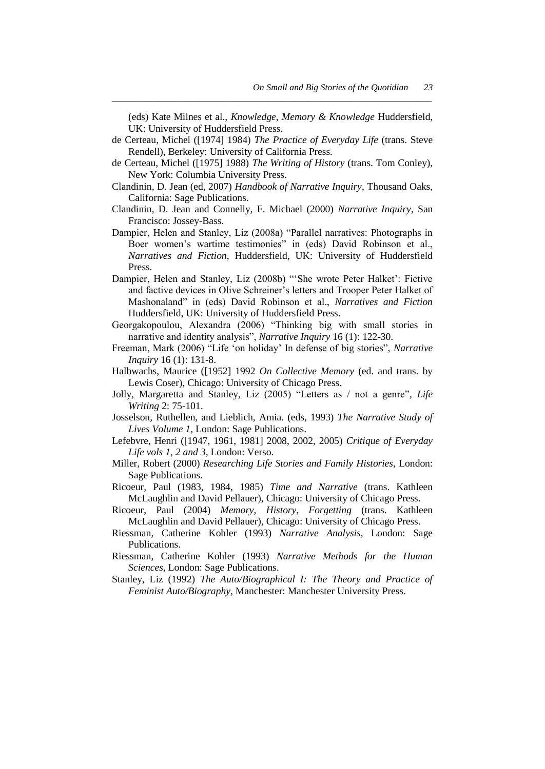(eds) Kate Milnes et al., *Knowledge, Memory & Knowledge* Huddersfield, UK: University of Huddersfield Press.

de Certeau, Michel ([1974] 1984) *The Practice of Everyday Life* (trans. Steve Rendell), Berkeley: University of California Press.

*\_\_\_\_\_\_\_\_\_\_\_\_\_\_\_\_\_\_\_\_\_\_\_\_\_\_\_\_\_\_\_\_\_\_\_\_\_\_\_\_\_\_\_\_\_\_\_\_\_\_\_\_\_\_\_\_\_\_\_\_\_\_\_\_\_\_\_\_\_\_*

- de Certeau, Michel ([1975] 1988) *The Writing of History* (trans. Tom Conley), New York: Columbia University Press.
- Clandinin, D. Jean (ed, 2007) *Handbook of Narrative Inquiry*, Thousand Oaks, California: Sage Publications.
- Clandinin, D. Jean and Connelly, F. Michael (2000) *Narrative Inquiry*, San Francisco: Jossey-Bass.
- Dampier, Helen and Stanley, Liz (2008a) "Parallel narratives: Photographs in Boer women's wartime testimonies" in (eds) David Robinson et al., *Narratives and Fiction*, Huddersfield, UK: University of Huddersfield Press.
- Dampier, Helen and Stanley, Liz (2008b) "'She wrote Peter Halket': Fictive and factive devices in Olive Schreiner's letters and Trooper Peter Halket of Mashonaland‖ in (eds) David Robinson et al., *Narratives and Fiction* Huddersfield, UK: University of Huddersfield Press.
- Georgakopoulou, Alexandra (2006) "Thinking big with small stories in narrative and identity analysis", *Narrative Inquiry* 16 (1): 122-30.
- Freeman, Mark (2006) "Life 'on holiday' In defense of big stories", *Narrative Inquiry* 16 (1): 131-8.
- Halbwachs, Maurice ([1952] 1992 *On Collective Memory* (ed. and trans. by Lewis Coser), Chicago: University of Chicago Press.
- Jolly, Margaretta and Stanley, Liz (2005) "Letters as / not a genre", Life *Writing* 2: 75-101.
- Josselson, Ruthellen, and Lieblich, Amia. (eds, 1993) *The Narrative Study of Lives Volume 1,* London: Sage Publications.
- Lefebvre, Henri ([1947, 1961, 1981] 2008, 2002, 2005) *Critique of Everyday Life vols 1, 2 and 3*, London: Verso.
- Miller, Robert (2000) *Researching Life Stories and Family Histories,* London: Sage Publications.
- Ricoeur, Paul (1983, 1984, 1985) *Time and Narrative* (trans. Kathleen McLaughlin and David Pellauer), Chicago: University of Chicago Press.
- Ricoeur, Paul (2004) *Memory, History, Forgetting* (trans. Kathleen McLaughlin and David Pellauer), Chicago: University of Chicago Press.
- Riessman, Catherine Kohler (1993) *Narrative Analysis,* London: Sage Publications.
- Riessman, Catherine Kohler (1993) *Narrative Methods for the Human Sciences*, London: Sage Publications.
- Stanley, Liz (1992) *The Auto/Biographical I: The Theory and Practice of Feminist Auto/Biography*, Manchester: Manchester University Press.